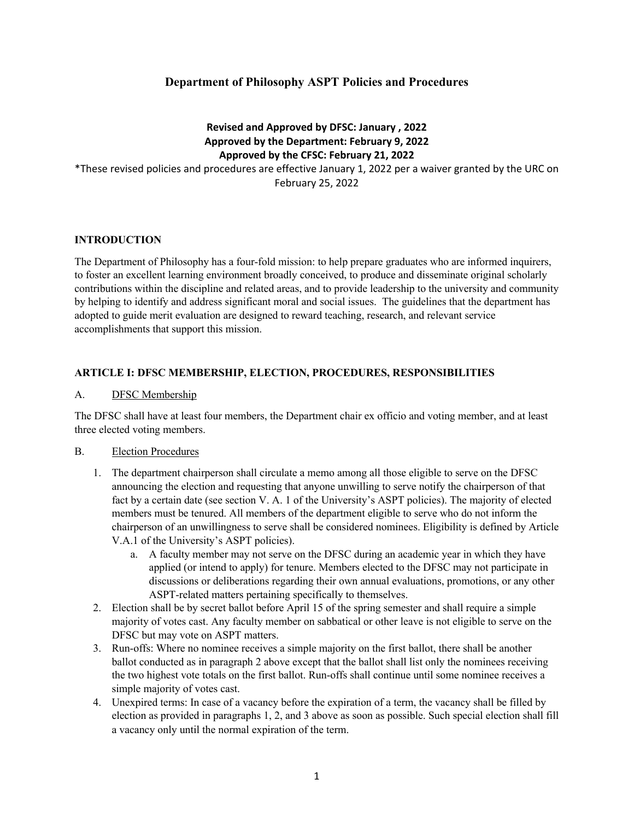# **Department of Philosophy ASPT Policies and Procedures**

## **Revised and Approved by DFSC: January , 2022 Approved by the Department: February 9, 2022 Approved by the CFSC: February 21, 2022**

\*These revised policies and procedures are effective January 1, 2022 per a waiver granted by the URC on February 25, 2022

### **INTRODUCTION**

The Department of Philosophy has a four-fold mission: to help prepare graduates who are informed inquirers, to foster an excellent learning environment broadly conceived, to produce and disseminate original scholarly contributions within the discipline and related areas, and to provide leadership to the university and community by helping to identify and address significant moral and social issues. The guidelines that the department has adopted to guide merit evaluation are designed to reward teaching, research, and relevant service accomplishments that support this mission.

### **ARTICLE I: DFSC MEMBERSHIP, ELECTION, PROCEDURES, RESPONSIBILITIES**

#### A. DFSC Membership

The DFSC shall have at least four members, the Department chair ex officio and voting member, and at least three elected voting members.

### B. Election Procedures

- 1. The department chairperson shall circulate a memo among all those eligible to serve on the DFSC announcing the election and requesting that anyone unwilling to serve notify the chairperson of that fact by a certain date (see section V. A. 1 of the University's ASPT policies). The majority of elected members must be tenured. All members of the department eligible to serve who do not inform the chairperson of an unwillingness to serve shall be considered nominees. Eligibility is defined by Article V.A.1 of the University's ASPT policies).
	- a. A faculty member may not serve on the DFSC during an academic year in which they have applied (or intend to apply) for tenure. Members elected to the DFSC may not participate in discussions or deliberations regarding their own annual evaluations, promotions, or any other ASPT-related matters pertaining specifically to themselves.
- 2. Election shall be by secret ballot before April 15 of the spring semester and shall require a simple majority of votes cast. Any faculty member on sabbatical or other leave is not eligible to serve on the DFSC but may vote on ASPT matters.
- 3. Run-offs: Where no nominee receives a simple majority on the first ballot, there shall be another ballot conducted as in paragraph 2 above except that the ballot shall list only the nominees receiving the two highest vote totals on the first ballot. Run-offs shall continue until some nominee receives a simple majority of votes cast.
- 4. Unexpired terms: In case of a vacancy before the expiration of a term, the vacancy shall be filled by election as provided in paragraphs 1, 2, and 3 above as soon as possible. Such special election shall fill a vacancy only until the normal expiration of the term.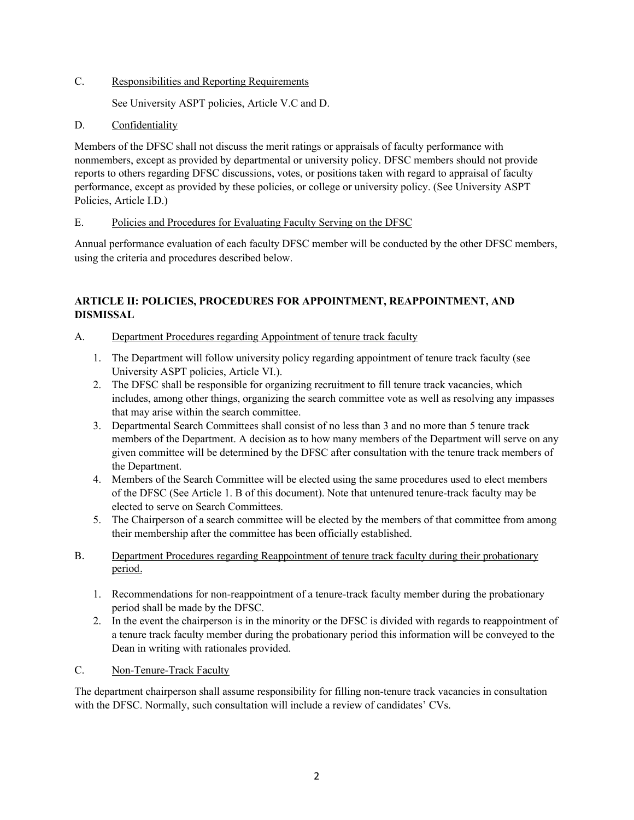C. Responsibilities and Reporting Requirements

See University ASPT policies, Article V.C and D.

## D. Confidentiality

Members of the DFSC shall not discuss the merit ratings or appraisals of faculty performance with nonmembers, except as provided by departmental or university policy. DFSC members should not provide reports to others regarding DFSC discussions, votes, or positions taken with regard to appraisal of faculty performance, except as provided by these policies, or college or university policy. (See University ASPT Policies, Article I.D.)

## E. Policies and Procedures for Evaluating Faculty Serving on the DFSC

Annual performance evaluation of each faculty DFSC member will be conducted by the other DFSC members, using the criteria and procedures described below.

# **ARTICLE II: POLICIES, PROCEDURES FOR APPOINTMENT, REAPPOINTMENT, AND DISMISSAL**

- A. Department Procedures regarding Appointment of tenure track faculty
	- 1. The Department will follow university policy regarding appointment of tenure track faculty (see University ASPT policies, Article VI.).
	- 2. The DFSC shall be responsible for organizing recruitment to fill tenure track vacancies, which includes, among other things, organizing the search committee vote as well as resolving any impasses that may arise within the search committee.
	- 3. Departmental Search Committees shall consist of no less than 3 and no more than 5 tenure track members of the Department. A decision as to how many members of the Department will serve on any given committee will be determined by the DFSC after consultation with the tenure track members of the Department.
	- 4. Members of the Search Committee will be elected using the same procedures used to elect members of the DFSC (See Article 1. B of this document). Note that untenured tenure-track faculty may be elected to serve on Search Committees.
	- 5. The Chairperson of a search committee will be elected by the members of that committee from among their membership after the committee has been officially established.
- B. Department Procedures regarding Reappointment of tenure track faculty during their probationary period.
	- 1. Recommendations for non-reappointment of a tenure-track faculty member during the probationary period shall be made by the DFSC.
	- 2. In the event the chairperson is in the minority or the DFSC is divided with regards to reappointment of a tenure track faculty member during the probationary period this information will be conveyed to the Dean in writing with rationales provided.
- C. Non-Tenure-Track Faculty

The department chairperson shall assume responsibility for filling non-tenure track vacancies in consultation with the DFSC. Normally, such consultation will include a review of candidates' CVs.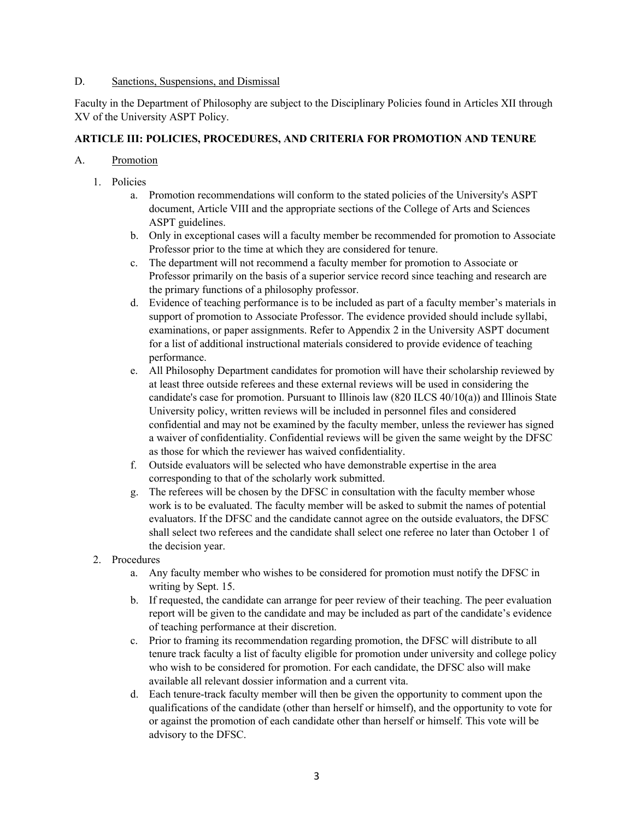#### D. Sanctions, Suspensions, and Dismissal

Faculty in the Department of Philosophy are subject to the Disciplinary Policies found in Articles XII through XV of the University ASPT Policy.

## **ARTICLE III: POLICIES, PROCEDURES, AND CRITERIA FOR PROMOTION AND TENURE**

### A. Promotion

- 1. Policies
	- a. Promotion recommendations will conform to the stated policies of the University's ASPT document, Article VIII and the appropriate sections of the College of Arts and Sciences ASPT guidelines.
	- b. Only in exceptional cases will a faculty member be recommended for promotion to Associate Professor prior to the time at which they are considered for tenure.
	- c. The department will not recommend a faculty member for promotion to Associate or Professor primarily on the basis of a superior service record since teaching and research are the primary functions of a philosophy professor.
	- d. Evidence of teaching performance is to be included as part of a faculty member's materials in support of promotion to Associate Professor. The evidence provided should include syllabi, examinations, or paper assignments. Refer to Appendix 2 in the University ASPT document for a list of additional instructional materials considered to provide evidence of teaching performance.
	- e. All Philosophy Department candidates for promotion will have their scholarship reviewed by at least three outside referees and these external reviews will be used in considering the candidate's case for promotion. Pursuant to Illinois law  $(820$  ILCS  $40/10(a)$ ) and Illinois State University policy, written reviews will be included in personnel files and considered confidential and may not be examined by the faculty member, unless the reviewer has signed a waiver of confidentiality. Confidential reviews will be given the same weight by the DFSC as those for which the reviewer has waived confidentiality.
	- f. Outside evaluators will be selected who have demonstrable expertise in the area corresponding to that of the scholarly work submitted.
	- g. The referees will be chosen by the DFSC in consultation with the faculty member whose work is to be evaluated. The faculty member will be asked to submit the names of potential evaluators. If the DFSC and the candidate cannot agree on the outside evaluators, the DFSC shall select two referees and the candidate shall select one referee no later than October 1 of the decision year.
- 2. Procedures
	- a. Any faculty member who wishes to be considered for promotion must notify the DFSC in writing by Sept. 15.
	- b. If requested, the candidate can arrange for peer review of their teaching. The peer evaluation report will be given to the candidate and may be included as part of the candidate's evidence of teaching performance at their discretion.
	- c. Prior to framing its recommendation regarding promotion, the DFSC will distribute to all tenure track faculty a list of faculty eligible for promotion under university and college policy who wish to be considered for promotion. For each candidate, the DFSC also will make available all relevant dossier information and a current vita.
	- d. Each tenure-track faculty member will then be given the opportunity to comment upon the qualifications of the candidate (other than herself or himself), and the opportunity to vote for or against the promotion of each candidate other than herself or himself. This vote will be advisory to the DFSC.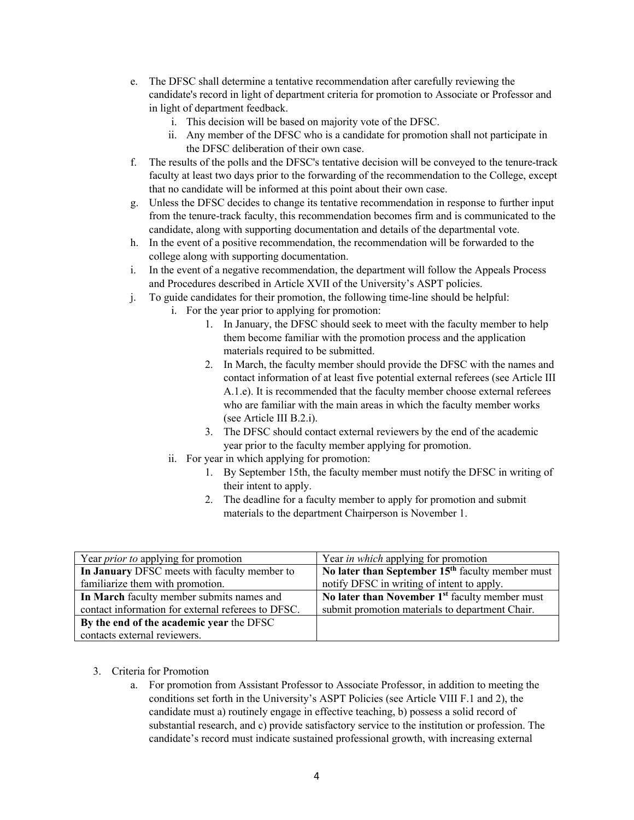- e. The DFSC shall determine a tentative recommendation after carefully reviewing the candidate's record in light of department criteria for promotion to Associate or Professor and in light of department feedback.
	- i. This decision will be based on majority vote of the DFSC.
	- ii. Any member of the DFSC who is a candidate for promotion shall not participate in the DFSC deliberation of their own case.
- f. The results of the polls and the DFSC's tentative decision will be conveyed to the tenure-track faculty at least two days prior to the forwarding of the recommendation to the College, except that no candidate will be informed at this point about their own case.
- g. Unless the DFSC decides to change its tentative recommendation in response to further input from the tenure-track faculty, this recommendation becomes firm and is communicated to the candidate, along with supporting documentation and details of the departmental vote.
- h. In the event of a positive recommendation, the recommendation will be forwarded to the college along with supporting documentation.
- i. In the event of a negative recommendation, the department will follow the Appeals Process and Procedures described in Article XVII of the University's ASPT policies.
- j. To guide candidates for their promotion, the following time-line should be helpful:
	- i. For the year prior to applying for promotion:
		- 1. In January, the DFSC should seek to meet with the faculty member to help them become familiar with the promotion process and the application materials required to be submitted.
		- 2. In March, the faculty member should provide the DFSC with the names and contact information of at least five potential external referees (see Article III A.1.e). It is recommended that the faculty member choose external referees who are familiar with the main areas in which the faculty member works (see Article III B.2.i).
		- 3. The DFSC should contact external reviewers by the end of the academic year prior to the faculty member applying for promotion.
	- ii. For year in which applying for promotion:
		- 1. By September 15th, the faculty member must notify the DFSC in writing of their intent to apply.
		- 2. The deadline for a faculty member to apply for promotion and submit materials to the department Chairperson is November 1.

| Year <i>prior to</i> applying for promotion        | Year <i>in which</i> applying for promotion        |
|----------------------------------------------------|----------------------------------------------------|
| In January DFSC meets with faculty member to       | No later than September $15th$ faculty member must |
| familiarize them with promotion.                   | notify DFSC in writing of intent to apply.         |
| In March faculty member submits names and          | No later than November $1st$ faculty member must   |
| contact information for external referees to DFSC. | submit promotion materials to department Chair.    |
| By the end of the academic year the DFSC           |                                                    |
| contacts external reviewers.                       |                                                    |

- 3. Criteria for Promotion
	- a. For promotion from Assistant Professor to Associate Professor, in addition to meeting the conditions set forth in the University's ASPT Policies (see Article VIII F.1 and 2), the candidate must a) routinely engage in effective teaching, b) possess a solid record of substantial research, and c) provide satisfactory service to the institution or profession. The candidate's record must indicate sustained professional growth, with increasing external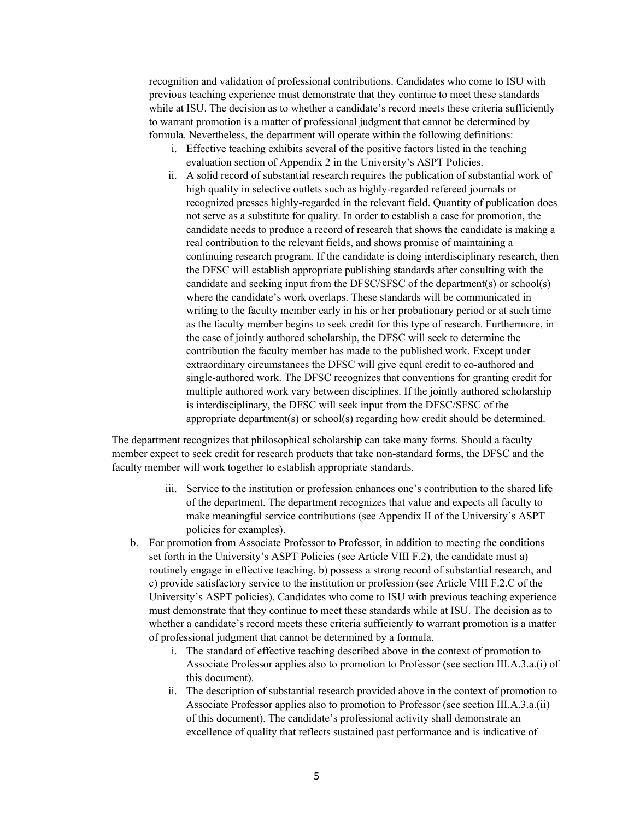recognition and validation of professional contributions. Candidates who come to ISU with previous teaching experience must demonstrate that they continue to meet these standards while at ISU. The decision as to whether a candidate's record meets these criteria sufficiently to warrant promotion is a matter of professional judgment that cannot be determined by formula. Nevertheless, the department will operate within the following definitions:

- i. Effective teaching exhibits several of the positive factors listed in the teaching evaluation section of Appendix 2 in the University's ASPT Policies.
- ii. A solid record of substantial research requires the publication of substantial work of high quality in selective outlets such as highly-regarded refereed journals or recognized presses highly-regarded in the relevant field. Quantity of publication does not serve as a substitute for quality. In order to establish a case for promotion, the candidate needs to produce a record of research that shows the candidate is making a real contribution to the relevant fields, and shows promise of maintaining a continuing research program. If the candidate is doing interdisciplinary research, then the DFSC will establish appropriate publishing standards after consulting with the candidate and seeking input from the DFSC/SFSC of the department(s) or school(s) where the candidate's work overlaps. These standards will be communicated in writing to the faculty member early in his or her probationary period or at such time as the faculty member begins to seek credit for this type of research. Furthermore, in the case of jointly authored scholarship, the DFSC will seek to determine the contribution the faculty member has made to the published work. Except under extraordinary circumstances the DFSC will give equal credit to co-authored and single-authored work. The DFSC recognizes that conventions for granting credit for multiple authored work vary between disciplines. If the jointly authored scholarship is interdisciplinary, the DFSC will seek input from the DFSC/SFSC of the appropriate department(s) or school(s) regarding how credit should be determined.

The department recognizes that philosophical scholarship can take many forms. Should a faculty member expect to seek credit for research products that take non-standard forms, the DFSC and the faculty member will work together to establish appropriate standards.

- iii. Service to the institution or profession enhances one's contribution to the shared life of the department. The department recognizes that value and expects all faculty to make meaningful service contributions (see Appendix II of the University's ASPT policies for examples).
- b. For promotion from Associate Professor to Professor, in addition to meeting the conditions set forth in the University's ASPT Policies (see Article VIII F.2), the candidate must a) routinely engage in effective teaching, b) possess a strong record of substantial research, and c) provide satisfactory service to the institution or profession (see Article VIII F.2.C of the University's ASPT policies). Candidates who come to ISU with previous teaching experience must demonstrate that they continue to meet these standards while at ISU. The decision as to whether a candidate's record meets these criteria sufficiently to warrant promotion is a matter of professional judgment that cannot be determined by a formula.
	- i. The standard of effective teaching described above in the context of promotion to Associate Professor applies also to promotion to Professor (see section III.A.3.a.(i) of this document).
	- ii. The description of substantial research provided above in the context of promotion to Associate Professor applies also to promotion to Professor (see section III.A.3.a.(ii) of this document). The candidate's professional activity shall demonstrate an excellence of quality that reflects sustained past performance and is indicative of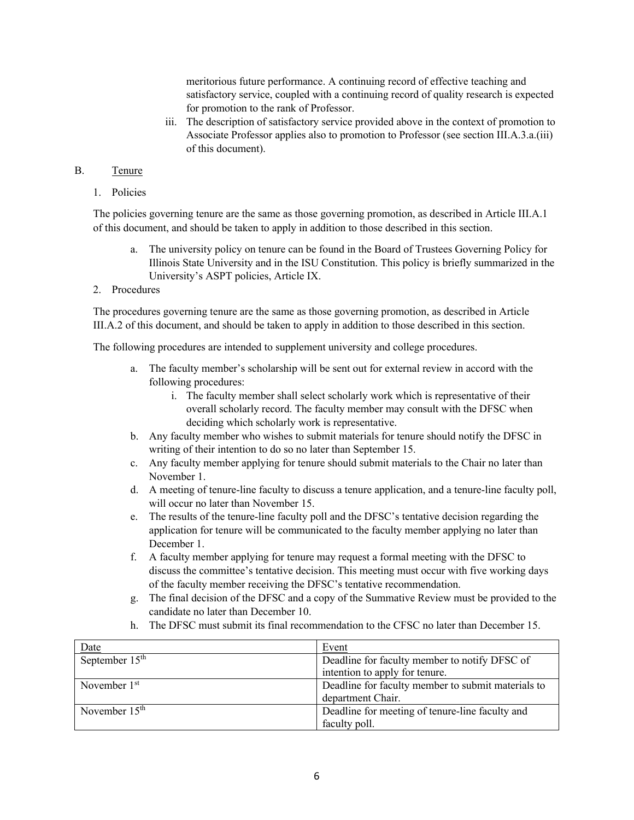meritorious future performance. A continuing record of effective teaching and satisfactory service, coupled with a continuing record of quality research is expected for promotion to the rank of Professor.

iii. The description of satisfactory service provided above in the context of promotion to Associate Professor applies also to promotion to Professor (see section III.A.3.a.(iii) of this document).

## B. Tenure

1. Policies

The policies governing tenure are the same as those governing promotion, as described in Article III.A.1 of this document, and should be taken to apply in addition to those described in this section.

- a. The university policy on tenure can be found in the Board of Trustees Governing Policy for Illinois State University and in the ISU Constitution. This policy is briefly summarized in the University's ASPT policies, Article IX.
- 2. Procedures

The procedures governing tenure are the same as those governing promotion, as described in Article III.A.2 of this document, and should be taken to apply in addition to those described in this section.

The following procedures are intended to supplement university and college procedures.

- a. The faculty member's scholarship will be sent out for external review in accord with the following procedures:
	- i. The faculty member shall select scholarly work which is representative of their overall scholarly record. The faculty member may consult with the DFSC when deciding which scholarly work is representative.
- b. Any faculty member who wishes to submit materials for tenure should notify the DFSC in writing of their intention to do so no later than September 15.
- c. Any faculty member applying for tenure should submit materials to the Chair no later than November 1.
- d. A meeting of tenure-line faculty to discuss a tenure application, and a tenure-line faculty poll, will occur no later than November 15.
- e. The results of the tenure-line faculty poll and the DFSC's tentative decision regarding the application for tenure will be communicated to the faculty member applying no later than December 1.
- f. A faculty member applying for tenure may request a formal meeting with the DFSC to discuss the committee's tentative decision. This meeting must occur with five working days of the faculty member receiving the DFSC's tentative recommendation.
- g. The final decision of the DFSC and a copy of the Summative Review must be provided to the candidate no later than December 10.
- h. The DFSC must submit its final recommendation to the CFSC no later than December 15.

| Date             | Event                                              |
|------------------|----------------------------------------------------|
| September $15th$ | Deadline for faculty member to notify DFSC of      |
|                  | intention to apply for tenure.                     |
| November $1st$   | Deadline for faculty member to submit materials to |
|                  | department Chair.                                  |
| November $15th$  | Deadline for meeting of tenure-line faculty and    |
|                  | faculty poll.                                      |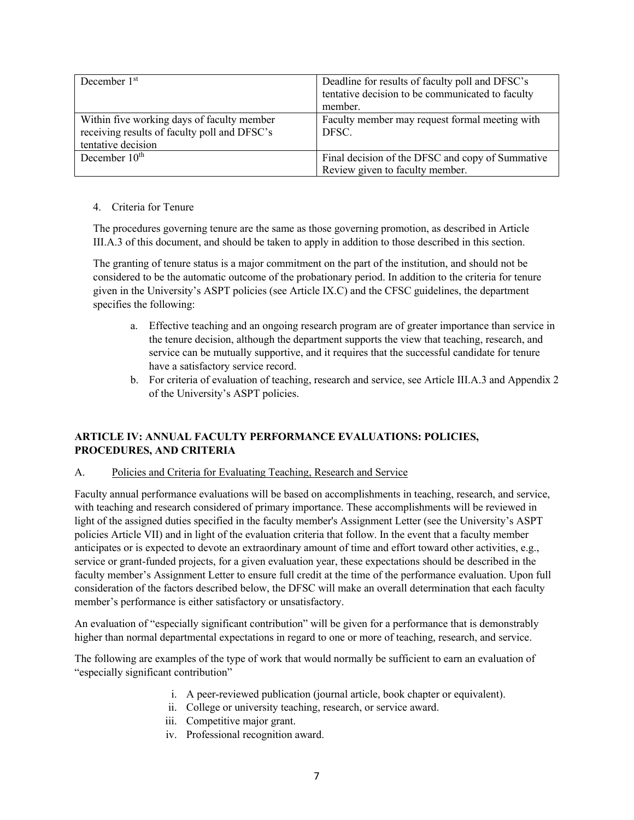| December $1st$                               | Deadline for results of faculty poll and DFSC's  |
|----------------------------------------------|--------------------------------------------------|
|                                              | tentative decision to be communicated to faculty |
|                                              | member.                                          |
| Within five working days of faculty member   | Faculty member may request formal meeting with   |
| receiving results of faculty poll and DFSC's | DFSC.                                            |
| tentative decision                           |                                                  |
| December $10^{\text{th}}$                    | Final decision of the DFSC and copy of Summative |
|                                              | Review given to faculty member.                  |

### 4. Criteria for Tenure

The procedures governing tenure are the same as those governing promotion, as described in Article III.A.3 of this document, and should be taken to apply in addition to those described in this section.

The granting of tenure status is a major commitment on the part of the institution, and should not be considered to be the automatic outcome of the probationary period. In addition to the criteria for tenure given in the University's ASPT policies (see Article IX.C) and the CFSC guidelines, the department specifies the following:

- a. Effective teaching and an ongoing research program are of greater importance than service in the tenure decision, although the department supports the view that teaching, research, and service can be mutually supportive, and it requires that the successful candidate for tenure have a satisfactory service record.
- b. For criteria of evaluation of teaching, research and service, see Article III.A.3 and Appendix 2 of the University's ASPT policies.

# **ARTICLE IV: ANNUAL FACULTY PERFORMANCE EVALUATIONS: POLICIES, PROCEDURES, AND CRITERIA**

### A. Policies and Criteria for Evaluating Teaching, Research and Service

Faculty annual performance evaluations will be based on accomplishments in teaching, research, and service, with teaching and research considered of primary importance. These accomplishments will be reviewed in light of the assigned duties specified in the faculty member's Assignment Letter (see the University's ASPT policies Article VII) and in light of the evaluation criteria that follow. In the event that a faculty member anticipates or is expected to devote an extraordinary amount of time and effort toward other activities, e.g., service or grant-funded projects, for a given evaluation year, these expectations should be described in the faculty member's Assignment Letter to ensure full credit at the time of the performance evaluation. Upon full consideration of the factors described below, the DFSC will make an overall determination that each faculty member's performance is either satisfactory or unsatisfactory.

An evaluation of "especially significant contribution" will be given for a performance that is demonstrably higher than normal departmental expectations in regard to one or more of teaching, research, and service.

The following are examples of the type of work that would normally be sufficient to earn an evaluation of "especially significant contribution"

- i. A peer-reviewed publication (journal article, book chapter or equivalent).
- ii. College or university teaching, research, or service award.
- iii. Competitive major grant.
- iv. Professional recognition award.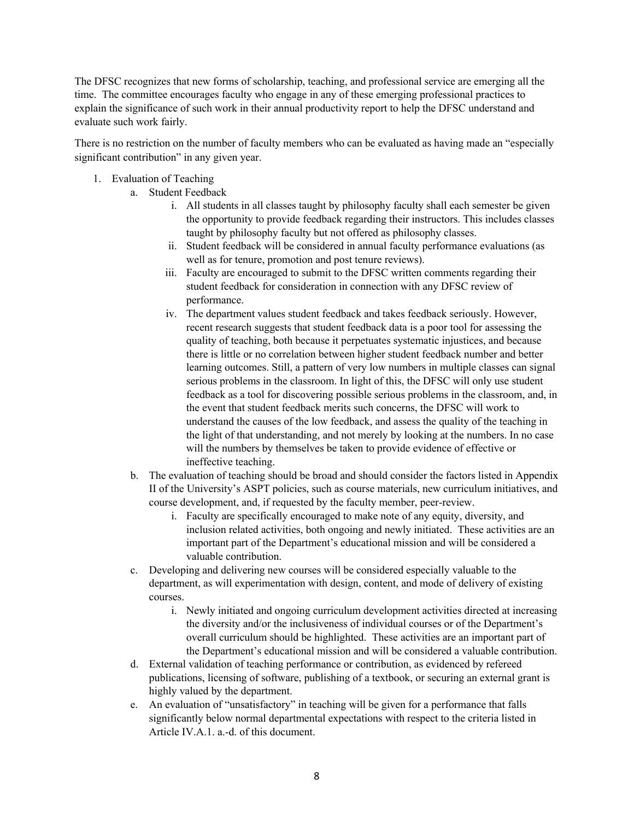The DFSC recognizes that new forms of scholarship, teaching, and professional service are emerging all the time. The committee encourages faculty who engage in any of these emerging professional practices to explain the significance of such work in their annual productivity report to help the DFSC understand and evaluate such work fairly.

There is no restriction on the number of faculty members who can be evaluated as having made an "especially significant contribution" in any given year.

- 1. Evaluation of Teaching
	- a. Student Feedback
		- i. All students in all classes taught by philosophy faculty shall each semester be given the opportunity to provide feedback regarding their instructors. This includes classes taught by philosophy faculty but not offered as philosophy classes.
		- ii. Student feedback will be considered in annual faculty performance evaluations (as well as for tenure, promotion and post tenure reviews).
		- iii. Faculty are encouraged to submit to the DFSC written comments regarding their student feedback for consideration in connection with any DFSC review of performance.
		- iv. The department values student feedback and takes feedback seriously. However, recent research suggests that student feedback data is a poor tool for assessing the quality of teaching, both because it perpetuates systematic injustices, and because there is little or no correlation between higher student feedback number and better learning outcomes. Still, a pattern of very low numbers in multiple classes can signal serious problems in the classroom. In light of this, the DFSC will only use student feedback as a tool for discovering possible serious problems in the classroom, and, in the event that student feedback merits such concerns, the DFSC will work to understand the causes of the low feedback, and assess the quality of the teaching in the light of that understanding, and not merely by looking at the numbers. In no case will the numbers by themselves be taken to provide evidence of effective or ineffective teaching.
	- b. The evaluation of teaching should be broad and should consider the factors listed in Appendix II of the University's ASPT policies, such as course materials, new curriculum initiatives, and course development, and, if requested by the faculty member, peer-review.
		- i. Faculty are specifically encouraged to make note of any equity, diversity, and inclusion related activities, both ongoing and newly initiated. These activities are an important part of the Department's educational mission and will be considered a valuable contribution.
	- c. Developing and delivering new courses will be considered especially valuable to the department, as will experimentation with design, content, and mode of delivery of existing courses.
		- i. Newly initiated and ongoing curriculum development activities directed at increasing the diversity and/or the inclusiveness of individual courses or of the Department's overall curriculum should be highlighted. These activities are an important part of the Department's educational mission and will be considered a valuable contribution.
	- d. External validation of teaching performance or contribution, as evidenced by refereed publications, licensing of software, publishing of a textbook, or securing an external grant is highly valued by the department.
	- e. An evaluation of "unsatisfactory" in teaching will be given for a performance that falls significantly below normal departmental expectations with respect to the criteria listed in Article IV.A.1. a.-d. of this document.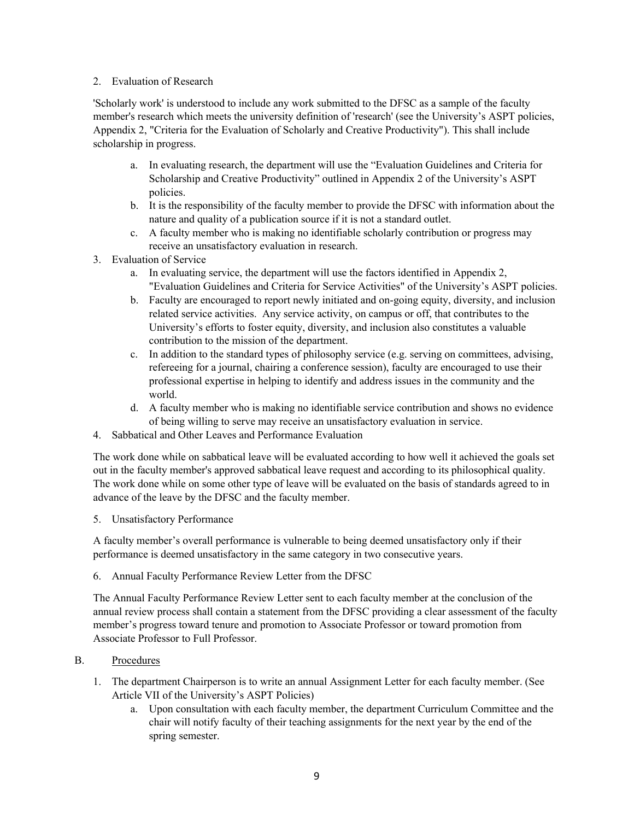#### 2. Evaluation of Research

'Scholarly work' is understood to include any work submitted to the DFSC as a sample of the faculty member's research which meets the university definition of 'research' (see the University's ASPT policies, Appendix 2, "Criteria for the Evaluation of Scholarly and Creative Productivity"). This shall include scholarship in progress.

- a. In evaluating research, the department will use the "Evaluation Guidelines and Criteria for Scholarship and Creative Productivity" outlined in Appendix 2 of the University's ASPT policies.
- b. It is the responsibility of the faculty member to provide the DFSC with information about the nature and quality of a publication source if it is not a standard outlet.
- c. A faculty member who is making no identifiable scholarly contribution or progress may receive an unsatisfactory evaluation in research.
- 3. Evaluation of Service
	- a. In evaluating service, the department will use the factors identified in Appendix 2, "Evaluation Guidelines and Criteria for Service Activities" of the University's ASPT policies.
	- b. Faculty are encouraged to report newly initiated and on-going equity, diversity, and inclusion related service activities. Any service activity, on campus or off, that contributes to the University's efforts to foster equity, diversity, and inclusion also constitutes a valuable contribution to the mission of the department.
	- c. In addition to the standard types of philosophy service (e.g. serving on committees, advising, refereeing for a journal, chairing a conference session), faculty are encouraged to use their professional expertise in helping to identify and address issues in the community and the world.
	- d. A faculty member who is making no identifiable service contribution and shows no evidence of being willing to serve may receive an unsatisfactory evaluation in service.
- 4. Sabbatical and Other Leaves and Performance Evaluation

The work done while on sabbatical leave will be evaluated according to how well it achieved the goals set out in the faculty member's approved sabbatical leave request and according to its philosophical quality. The work done while on some other type of leave will be evaluated on the basis of standards agreed to in advance of the leave by the DFSC and the faculty member.

5. Unsatisfactory Performance

A faculty member's overall performance is vulnerable to being deemed unsatisfactory only if their performance is deemed unsatisfactory in the same category in two consecutive years.

6. Annual Faculty Performance Review Letter from the DFSC

The Annual Faculty Performance Review Letter sent to each faculty member at the conclusion of the annual review process shall contain a statement from the DFSC providing a clear assessment of the faculty member's progress toward tenure and promotion to Associate Professor or toward promotion from Associate Professor to Full Professor.

- B. Procedures
	- 1. The department Chairperson is to write an annual Assignment Letter for each faculty member. (See Article VII of the University's ASPT Policies)
		- a. Upon consultation with each faculty member, the department Curriculum Committee and the chair will notify faculty of their teaching assignments for the next year by the end of the spring semester.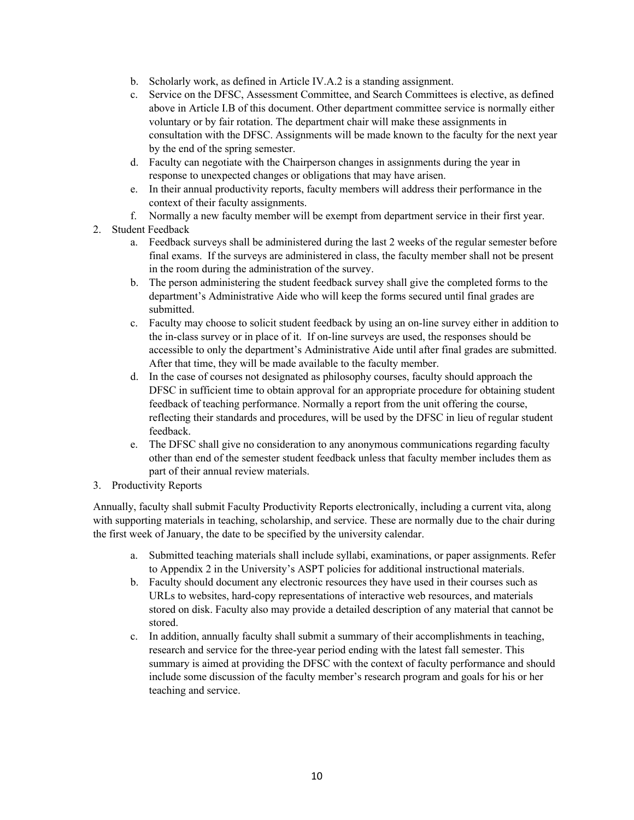- b. Scholarly work, as defined in Article IV.A.2 is a standing assignment.
- c. Service on the DFSC, Assessment Committee, and Search Committees is elective, as defined above in Article I.B of this document. Other department committee service is normally either voluntary or by fair rotation. The department chair will make these assignments in consultation with the DFSC. Assignments will be made known to the faculty for the next year by the end of the spring semester.
- d. Faculty can negotiate with the Chairperson changes in assignments during the year in response to unexpected changes or obligations that may have arisen.
- e. In their annual productivity reports, faculty members will address their performance in the context of their faculty assignments.
- f. Normally a new faculty member will be exempt from department service in their first year.
- 2. Student Feedback
	- a. Feedback surveys shall be administered during the last 2 weeks of the regular semester before final exams. If the surveys are administered in class, the faculty member shall not be present in the room during the administration of the survey.
	- b. The person administering the student feedback survey shall give the completed forms to the department's Administrative Aide who will keep the forms secured until final grades are submitted.
	- c. Faculty may choose to solicit student feedback by using an on-line survey either in addition to the in-class survey or in place of it. If on-line surveys are used, the responses should be accessible to only the department's Administrative Aide until after final grades are submitted. After that time, they will be made available to the faculty member.
	- d. In the case of courses not designated as philosophy courses, faculty should approach the DFSC in sufficient time to obtain approval for an appropriate procedure for obtaining student feedback of teaching performance. Normally a report from the unit offering the course, reflecting their standards and procedures, will be used by the DFSC in lieu of regular student feedback.
	- e. The DFSC shall give no consideration to any anonymous communications regarding faculty other than end of the semester student feedback unless that faculty member includes them as part of their annual review materials.
- 3. Productivity Reports

Annually, faculty shall submit Faculty Productivity Reports electronically, including a current vita, along with supporting materials in teaching, scholarship, and service. These are normally due to the chair during the first week of January, the date to be specified by the university calendar.

- a. Submitted teaching materials shall include syllabi, examinations, or paper assignments. Refer to Appendix 2 in the University's ASPT policies for additional instructional materials.
- b. Faculty should document any electronic resources they have used in their courses such as URLs to websites, hard-copy representations of interactive web resources, and materials stored on disk. Faculty also may provide a detailed description of any material that cannot be stored.
- c. In addition, annually faculty shall submit a summary of their accomplishments in teaching, research and service for the three-year period ending with the latest fall semester. This summary is aimed at providing the DFSC with the context of faculty performance and should include some discussion of the faculty member's research program and goals for his or her teaching and service.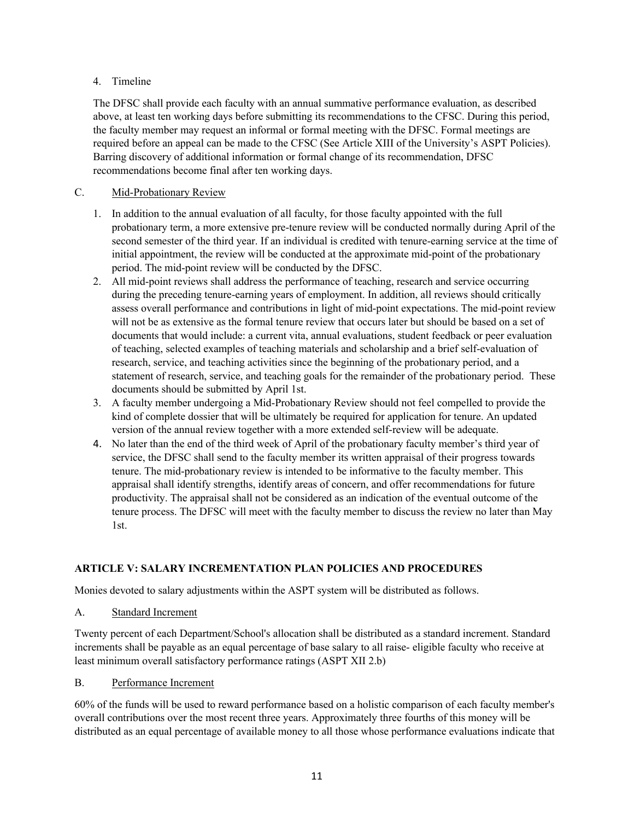### 4. Timeline

The DFSC shall provide each faculty with an annual summative performance evaluation, as described above, at least ten working days before submitting its recommendations to the CFSC. During this period, the faculty member may request an informal or formal meeting with the DFSC. Formal meetings are required before an appeal can be made to the CFSC (See Article XIII of the University's ASPT Policies). Barring discovery of additional information or formal change of its recommendation, DFSC recommendations become final after ten working days.

## C. Mid-Probationary Review

- 1. In addition to the annual evaluation of all faculty, for those faculty appointed with the full probationary term, a more extensive pre-tenure review will be conducted normally during April of the second semester of the third year. If an individual is credited with tenure-earning service at the time of initial appointment, the review will be conducted at the approximate mid-point of the probationary period. The mid-point review will be conducted by the DFSC.
- 2. All mid-point reviews shall address the performance of teaching, research and service occurring during the preceding tenure-earning years of employment. In addition, all reviews should critically assess overall performance and contributions in light of mid-point expectations. The mid-point review will not be as extensive as the formal tenure review that occurs later but should be based on a set of documents that would include: a current vita, annual evaluations, student feedback or peer evaluation of teaching, selected examples of teaching materials and scholarship and a brief self-evaluation of research, service, and teaching activities since the beginning of the probationary period, and a statement of research, service, and teaching goals for the remainder of the probationary period. These documents should be submitted by April 1st.
- 3. A faculty member undergoing a Mid-Probationary Review should not feel compelled to provide the kind of complete dossier that will be ultimately be required for application for tenure. An updated version of the annual review together with a more extended self-review will be adequate.
- 4. No later than the end of the third week of April of the probationary faculty member's third year of service, the DFSC shall send to the faculty member its written appraisal of their progress towards tenure. The mid-probationary review is intended to be informative to the faculty member. This appraisal shall identify strengths, identify areas of concern, and offer recommendations for future productivity. The appraisal shall not be considered as an indication of the eventual outcome of the tenure process. The DFSC will meet with the faculty member to discuss the review no later than May 1st.

# **ARTICLE V: SALARY INCREMENTATION PLAN POLICIES AND PROCEDURES**

Monies devoted to salary adjustments within the ASPT system will be distributed as follows.

A. Standard Increment

Twenty percent of each Department/School's allocation shall be distributed as a standard increment. Standard increments shall be payable as an equal percentage of base salary to all raise- eligible faculty who receive at least minimum overall satisfactory performance ratings (ASPT XII 2.b)

### B. Performance Increment

60% of the funds will be used to reward performance based on a holistic comparison of each faculty member's overall contributions over the most recent three years. Approximately three fourths of this money will be distributed as an equal percentage of available money to all those whose performance evaluations indicate that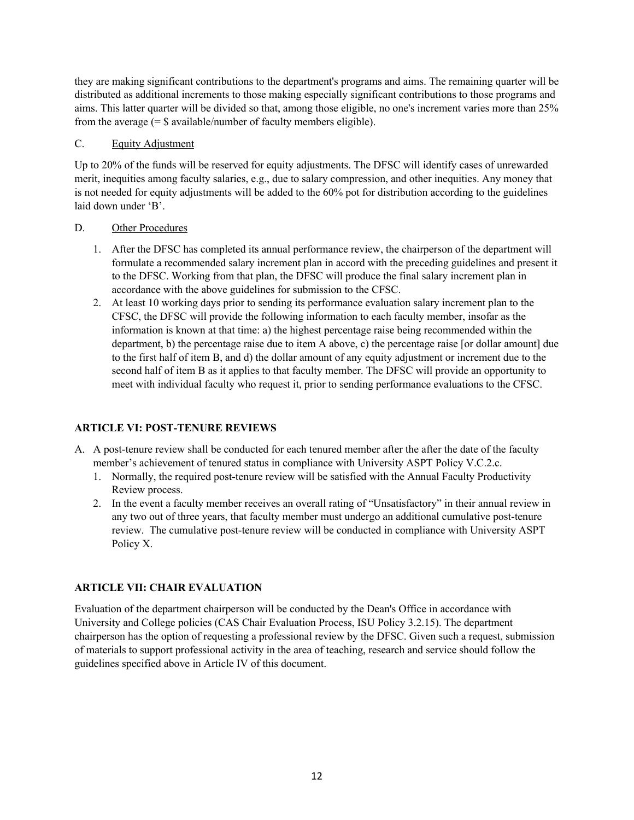they are making significant contributions to the department's programs and aims. The remaining quarter will be distributed as additional increments to those making especially significant contributions to those programs and aims. This latter quarter will be divided so that, among those eligible, no one's increment varies more than 25% from the average  $(=\$ available/number of faculty members eligible).$ 

### C. Equity Adjustment

Up to 20% of the funds will be reserved for equity adjustments. The DFSC will identify cases of unrewarded merit, inequities among faculty salaries, e.g., due to salary compression, and other inequities. Any money that is not needed for equity adjustments will be added to the 60% pot for distribution according to the guidelines laid down under 'B'.

## D. Other Procedures

- 1. After the DFSC has completed its annual performance review, the chairperson of the department will formulate a recommended salary increment plan in accord with the preceding guidelines and present it to the DFSC. Working from that plan, the DFSC will produce the final salary increment plan in accordance with the above guidelines for submission to the CFSC.
- 2. At least 10 working days prior to sending its performance evaluation salary increment plan to the CFSC, the DFSC will provide the following information to each faculty member, insofar as the information is known at that time: a) the highest percentage raise being recommended within the department, b) the percentage raise due to item A above, c) the percentage raise [or dollar amount] due to the first half of item B, and d) the dollar amount of any equity adjustment or increment due to the second half of item B as it applies to that faculty member. The DFSC will provide an opportunity to meet with individual faculty who request it, prior to sending performance evaluations to the CFSC.

# **ARTICLE VI: POST-TENURE REVIEWS**

- A. A post-tenure review shall be conducted for each tenured member after the after the date of the faculty member's achievement of tenured status in compliance with University ASPT Policy V.C.2.c.
	- 1. Normally, the required post-tenure review will be satisfied with the Annual Faculty Productivity Review process.
	- 2. In the event a faculty member receives an overall rating of "Unsatisfactory" in their annual review in any two out of three years, that faculty member must undergo an additional cumulative post-tenure review. The cumulative post-tenure review will be conducted in compliance with University ASPT Policy X.

# **ARTICLE VII: CHAIR EVALUATION**

Evaluation of the department chairperson will be conducted by the Dean's Office in accordance with University and College policies (CAS Chair Evaluation Process, ISU Policy 3.2.15). The department chairperson has the option of requesting a professional review by the DFSC. Given such a request, submission of materials to support professional activity in the area of teaching, research and service should follow the guidelines specified above in Article IV of this document.